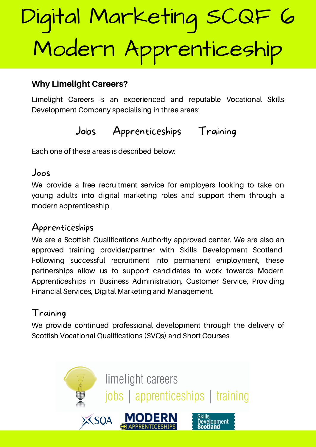### **Why Limelight Careers?**

Limelight Careers is an experienced and reputable Vocational Skills Development Company specialising in three areas:

# Jobs Apprenticeships Training

Each one of these areas is described below:

#### Jobs

We provide a free recruitment service for employers looking to take on young adults into digital marketing roles and support them through a modern apprenticeship.

# Apprenticeships

We are a Scottish Qualifications Authority approved center. We are also an approved training provider/partner with Skills Development Scotland. Following successful recruitment into permanent employment, these partnerships allow us to support candidates to work towards Modern Apprenticeships in Business Administration, Customer Service, Providing Financial Services, Digital Marketing and Management.

# Training

We provide continued professional development through the delivery of Scottish Vocational Qualifications (SVQs) and Short Courses.

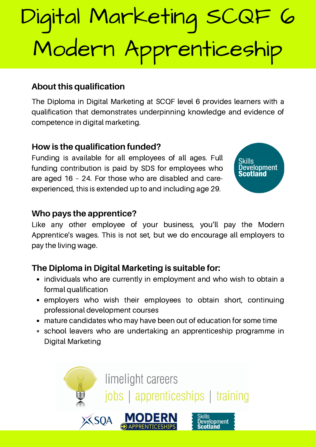### **About this qualification**

The Diploma in Digital Marketing at SCQF level 6 provides learners with a qualification that demonstrates underpinning knowledge and evidence of competence in digital marketing.

#### **How is the qualification funded?**

Funding is available for all employees of all ages. Full funding contribution is paid by SDS for employees who are aged 16 – 24. For those who are disabled and careexperienced, this is extended up to and including age 29.



#### **Who pays the apprentice?**

Like any other employee of your business, you'll pay the Modern Apprentice's wages. This is not set, but we do encourage all employers to pay the living wage.

# **The Diploma in Digital Marketing is suitable for:**

- individuals who are currently in employment and who wish to obtain a formal qualification
- employers who wish their employees to obtain short, continuing professional development courses
- mature candidates who may have been out of education for some time
- school leavers who are undertaking an apprenticeship programme in Digital Marketing

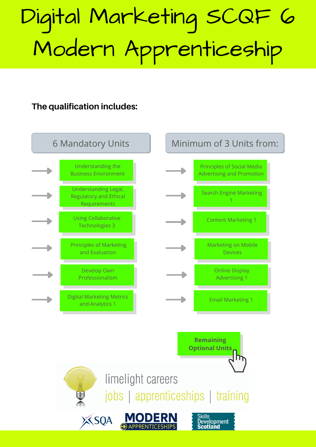**The qualification includes:**